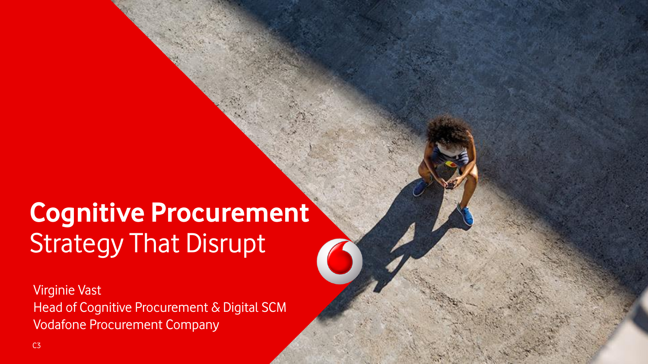# **Cognitive Procurement Strategy That Disrupt**

Virginie Vast Head of Cognitive Procurement & Digital SCM Vodafone Procurement Company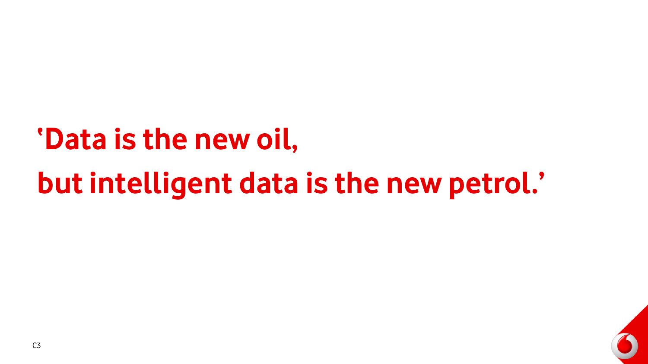# **'Data is the new oil,**

# **but intelligent data is the new petrol.'**

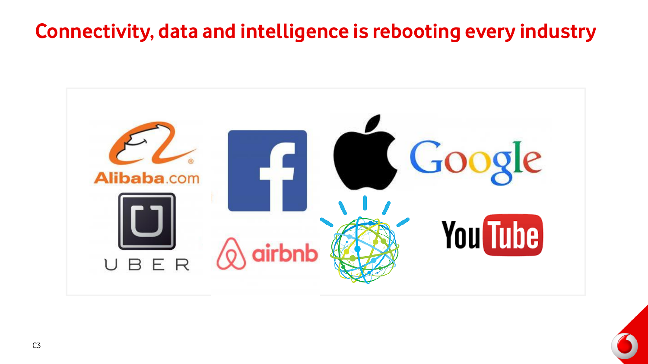## **Connectivity, data and intelligence is rebooting every industry**



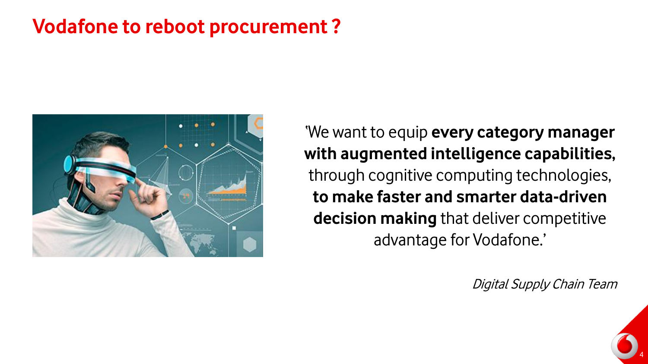### **Vodafone to reboot procurement ?**



'We want to equip **every category manager with augmented intelligence capabilities,** through cognitive computing technologies, **to make faster and smarter data-driven decision making** that deliver competitive advantage for Vodafone.'

Digital Supply Chain Team

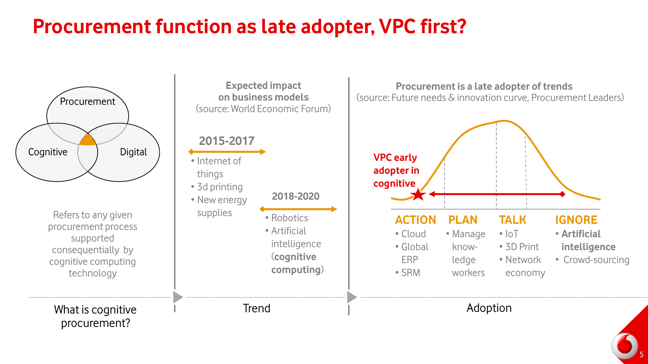## **Procurement function as late adopter, VPC first?**



5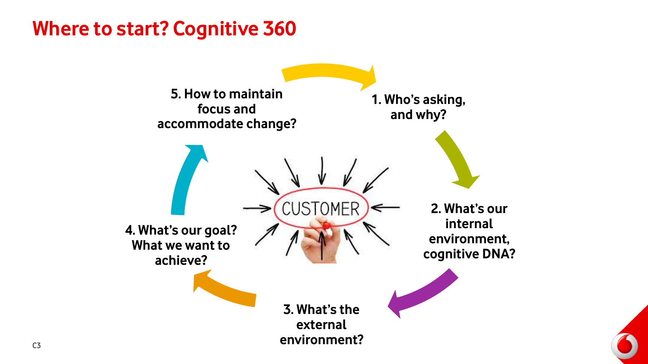### **Where to start? Cognitive 360**

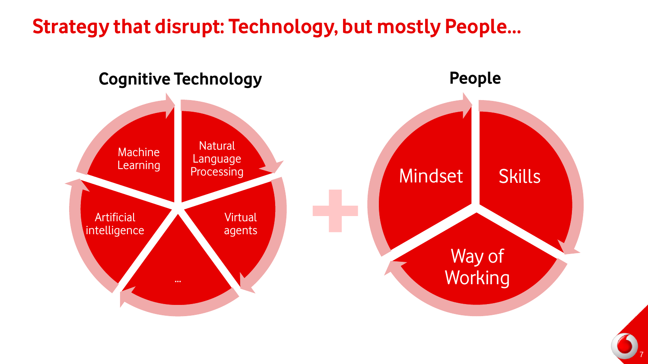### **Strategy that disrupt: Technology, but mostly People…**



7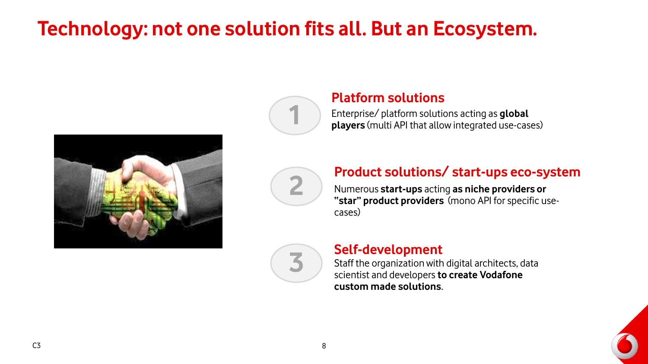# **Technology: not one solution fits all. But an Ecosystem.**







**3**

#### **Platform solutions**

Enterprise/ platform solutions acting as **global players** (multi API that allow integrated use-cases)

# **Product solutions/ start-ups eco-system**<br> **2** Numerous start-ups acting as niche providers or

Numerous **start-ups** acting **as niche providers or "star" product providers** (mono API for specific usecases)

### **Self-development**

Staff the organization with digital architects, data scientist and developers **to create Vodafone custom made solutions**.

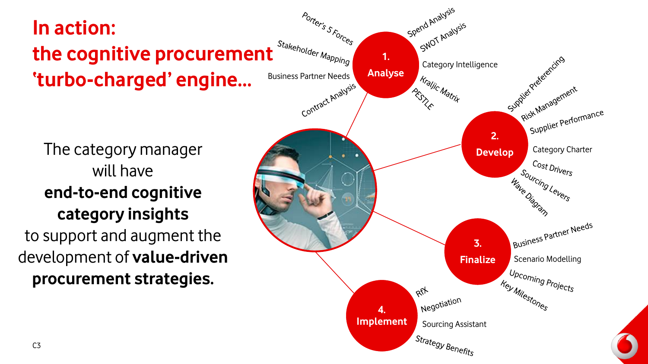# **In action:**  the cognitive procurement<sup> Stakeholder Mapping</sup> **'turbo-charged' engine…**

The category manager will have **end-to-end cognitive category insights**  to support and augment the development of **value-driven procurement strategies.**

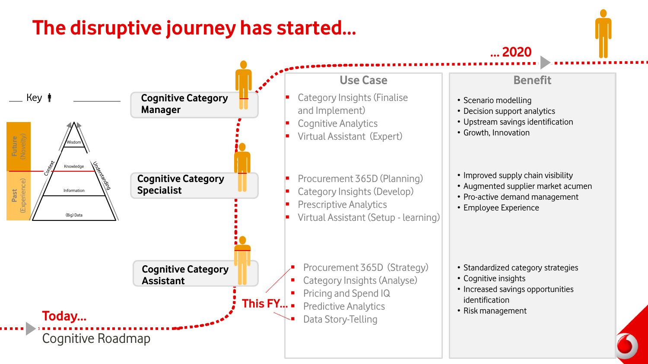## **The disruptive journey has started…**